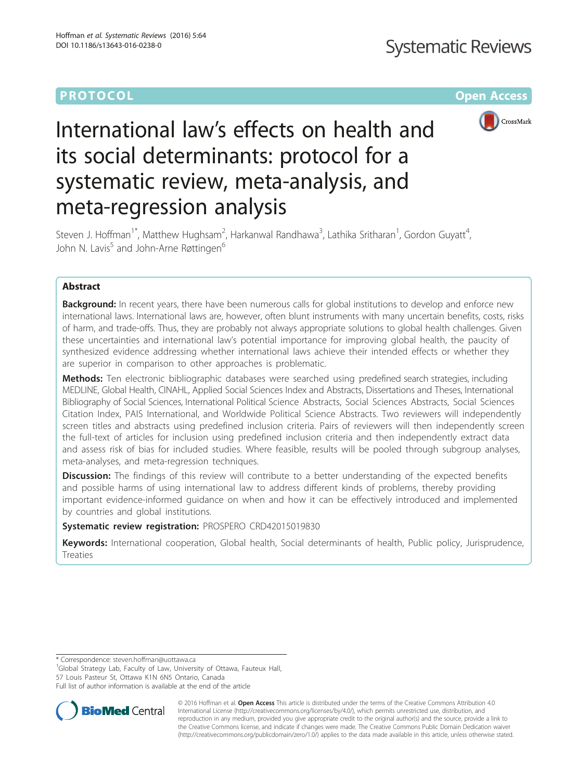# **PROTOCOL CONSUMING THE OPEN ACCESS**



# International law's effects on health and its social determinants: protocol for a systematic review, meta-analysis, and meta-regression analysis

Steven J. Hoffman<sup>1\*</sup>, Matthew Hughsam<sup>2</sup>, Harkanwal Randhawa<sup>3</sup>, Lathika Sritharan<sup>1</sup>, Gordon Guyatt<sup>4</sup> , John N. Lavis<sup>5</sup> and John-Arne Røttingen<sup>6</sup>

# Abstract

Background: In recent years, there have been numerous calls for global institutions to develop and enforce new international laws. International laws are, however, often blunt instruments with many uncertain benefits, costs, risks of harm, and trade-offs. Thus, they are probably not always appropriate solutions to global health challenges. Given these uncertainties and international law's potential importance for improving global health, the paucity of synthesized evidence addressing whether international laws achieve their intended effects or whether they are superior in comparison to other approaches is problematic.

Methods: Ten electronic bibliographic databases were searched using predefined search strategies, including MEDLINE, Global Health, CINAHL, Applied Social Sciences Index and Abstracts, Dissertations and Theses, International Bibliography of Social Sciences, International Political Science Abstracts, Social Sciences Abstracts, Social Sciences Citation Index, PAIS International, and Worldwide Political Science Abstracts. Two reviewers will independently screen titles and abstracts using predefined inclusion criteria. Pairs of reviewers will then independently screen the full-text of articles for inclusion using predefined inclusion criteria and then independently extract data and assess risk of bias for included studies. Where feasible, results will be pooled through subgroup analyses, meta-analyses, and meta-regression techniques.

**Discussion:** The findings of this review will contribute to a better understanding of the expected benefits and possible harms of using international law to address different kinds of problems, thereby providing important evidence-informed guidance on when and how it can be effectively introduced and implemented by countries and global institutions.

Systematic review registration: PROSPERO [CRD42015019830](http://www.crd.york.ac.uk/PROSPERO/display_record.asp?ID=CRD42015019830)

Keywords: International cooperation, Global health, Social determinants of health, Public policy, Jurisprudence, Treaties

<sup>1</sup>Global Strategy Lab, Faculty of Law, University of Ottawa, Fauteux Hall, 57 Louis Pasteur St, Ottawa K1N 6N5 Ontario, Canada

Full list of author information is available at the end of the article



© 2016 Hoffman et al. **Open Access** This article is distributed under the terms of the Creative Commons Attribution 4.0 International License [\(http://creativecommons.org/licenses/by/4.0/](http://creativecommons.org/licenses/by/4.0/)), which permits unrestricted use, distribution, and reproduction in any medium, provided you give appropriate credit to the original author(s) and the source, provide a link to the Creative Commons license, and indicate if changes were made. The Creative Commons Public Domain Dedication waiver [\(http://creativecommons.org/publicdomain/zero/1.0/](http://creativecommons.org/publicdomain/zero/1.0/)) applies to the data made available in this article, unless otherwise stated.

<sup>\*</sup> Correspondence: [steven.hoffman@uottawa.ca](mailto:steven.hoffman@uottawa.ca) <sup>1</sup>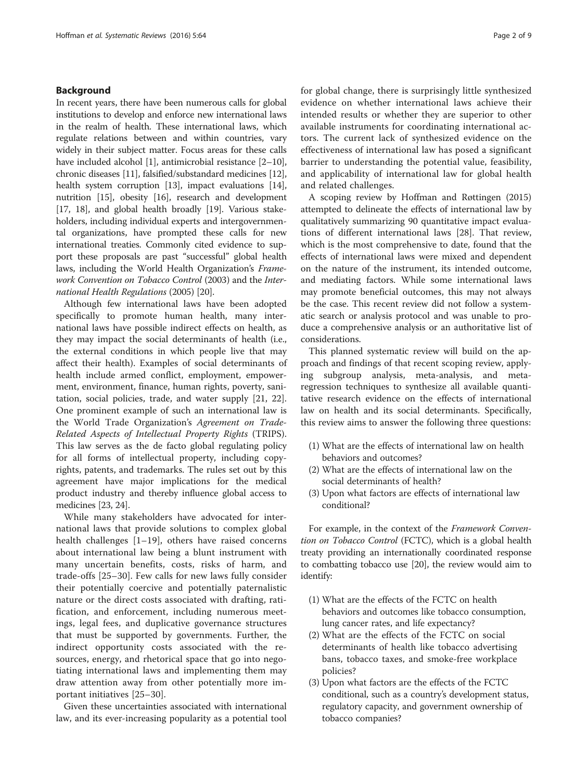# Background

In recent years, there have been numerous calls for global institutions to develop and enforce new international laws in the realm of health. These international laws, which regulate relations between and within countries, vary widely in their subject matter. Focus areas for these calls have included alcohol [[1](#page-7-0)], antimicrobial resistance [\[2](#page-7-0)–[10](#page-7-0)], chronic diseases [\[11\]](#page-7-0), falsified/substandard medicines [[12](#page-7-0)], health system corruption [\[13\]](#page-7-0), impact evaluations [[14](#page-7-0)], nutrition [\[15\]](#page-7-0), obesity [[16](#page-7-0)], research and development [[17](#page-7-0), [18](#page-7-0)], and global health broadly [[19](#page-7-0)]. Various stakeholders, including individual experts and intergovernmental organizations, have prompted these calls for new international treaties. Commonly cited evidence to support these proposals are past "successful" global health laws, including the World Health Organization's Framework Convention on Tobacco Control (2003) and the International Health Regulations (2005) [\[20](#page-7-0)].

Although few international laws have been adopted specifically to promote human health, many international laws have possible indirect effects on health, as they may impact the social determinants of health (i.e., the external conditions in which people live that may affect their health). Examples of social determinants of health include armed conflict, employment, empowerment, environment, finance, human rights, poverty, sanitation, social policies, trade, and water supply [\[21, 22](#page-7-0)]. One prominent example of such an international law is the World Trade Organization's Agreement on Trade-Related Aspects of Intellectual Property Rights (TRIPS). This law serves as the de facto global regulating policy for all forms of intellectual property, including copyrights, patents, and trademarks. The rules set out by this agreement have major implications for the medical product industry and thereby influence global access to medicines [[23](#page-7-0), [24](#page-7-0)].

While many stakeholders have advocated for international laws that provide solutions to complex global health challenges [[1](#page-7-0)–[19](#page-7-0)], others have raised concerns about international law being a blunt instrument with many uncertain benefits, costs, risks of harm, and trade-offs [[25](#page-7-0)–[30\]](#page-7-0). Few calls for new laws fully consider their potentially coercive and potentially paternalistic nature or the direct costs associated with drafting, ratification, and enforcement, including numerous meetings, legal fees, and duplicative governance structures that must be supported by governments. Further, the indirect opportunity costs associated with the resources, energy, and rhetorical space that go into negotiating international laws and implementing them may draw attention away from other potentially more important initiatives [[25](#page-7-0)–[30\]](#page-7-0).

Given these uncertainties associated with international law, and its ever-increasing popularity as a potential tool for global change, there is surprisingly little synthesized evidence on whether international laws achieve their intended results or whether they are superior to other available instruments for coordinating international actors. The current lack of synthesized evidence on the effectiveness of international law has posed a significant barrier to understanding the potential value, feasibility, and applicability of international law for global health and related challenges.

A scoping review by Hoffman and Røttingen (2015) attempted to delineate the effects of international law by qualitatively summarizing 90 quantitative impact evaluations of different international laws [\[28](#page-7-0)]. That review, which is the most comprehensive to date, found that the effects of international laws were mixed and dependent on the nature of the instrument, its intended outcome, and mediating factors. While some international laws may promote beneficial outcomes, this may not always be the case. This recent review did not follow a systematic search or analysis protocol and was unable to produce a comprehensive analysis or an authoritative list of considerations.

This planned systematic review will build on the approach and findings of that recent scoping review, applying subgroup analysis, meta-analysis, and metaregression techniques to synthesize all available quantitative research evidence on the effects of international law on health and its social determinants. Specifically, this review aims to answer the following three questions:

- (1) What are the effects of international law on health behaviors and outcomes?
- (2) What are the effects of international law on the social determinants of health?
- (3) Upon what factors are effects of international law conditional?

For example, in the context of the Framework Convention on Tobacco Control (FCTC), which is a global health treaty providing an internationally coordinated response to combatting tobacco use [[20](#page-7-0)], the review would aim to identify:

- (1) What are the effects of the FCTC on health behaviors and outcomes like tobacco consumption, lung cancer rates, and life expectancy?
- (2) What are the effects of the FCTC on social determinants of health like tobacco advertising bans, tobacco taxes, and smoke-free workplace policies?
- (3) Upon what factors are the effects of the FCTC conditional, such as a country's development status, regulatory capacity, and government ownership of tobacco companies?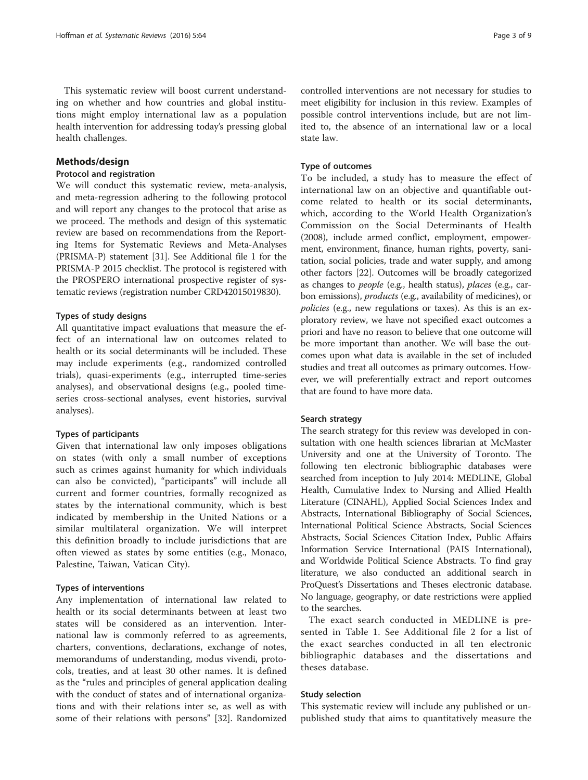#### Methods/design

#### Protocol and registration

We will conduct this systematic review, meta-analysis, and meta-regression adhering to the following protocol and will report any changes to the protocol that arise as we proceed. The methods and design of this systematic review are based on recommendations from the Reporting Items for Systematic Reviews and Meta-Analyses (PRISMA-P) statement [\[31\]](#page-7-0). See Additional file [1](#page-6-0) for the PRISMA-P 2015 checklist. The protocol is registered with the PROSPERO international prospective register of systematic reviews (registration number CRD42015019830).

#### Types of study designs

All quantitative impact evaluations that measure the effect of an international law on outcomes related to health or its social determinants will be included. These may include experiments (e.g., randomized controlled trials), quasi-experiments (e.g., interrupted time-series analyses), and observational designs (e.g., pooled timeseries cross-sectional analyses, event histories, survival analyses).

#### Types of participants

Given that international law only imposes obligations on states (with only a small number of exceptions such as crimes against humanity for which individuals can also be convicted), "participants" will include all current and former countries, formally recognized as states by the international community, which is best indicated by membership in the United Nations or a similar multilateral organization. We will interpret this definition broadly to include jurisdictions that are often viewed as states by some entities (e.g., Monaco, Palestine, Taiwan, Vatican City).

#### Types of interventions

Any implementation of international law related to health or its social determinants between at least two states will be considered as an intervention. International law is commonly referred to as agreements, charters, conventions, declarations, exchange of notes, memorandums of understanding, modus vivendi, protocols, treaties, and at least 30 other names. It is defined as the "rules and principles of general application dealing with the conduct of states and of international organizations and with their relations inter se, as well as with some of their relations with persons" [\[32](#page-7-0)]. Randomized

## Type of outcomes

To be included, a study has to measure the effect of international law on an objective and quantifiable outcome related to health or its social determinants, which, according to the World Health Organization's Commission on the Social Determinants of Health (2008), include armed conflict, employment, empowerment, environment, finance, human rights, poverty, sanitation, social policies, trade and water supply, and among other factors [[22](#page-7-0)]. Outcomes will be broadly categorized as changes to people (e.g., health status), places (e.g., carbon emissions), products (e.g., availability of medicines), or policies (e.g., new regulations or taxes). As this is an exploratory review, we have not specified exact outcomes a priori and have no reason to believe that one outcome will be more important than another. We will base the outcomes upon what data is available in the set of included studies and treat all outcomes as primary outcomes. However, we will preferentially extract and report outcomes that are found to have more data.

# Search strategy

The search strategy for this review was developed in consultation with one health sciences librarian at McMaster University and one at the University of Toronto. The following ten electronic bibliographic databases were searched from inception to July 2014: MEDLINE, Global Health, Cumulative Index to Nursing and Allied Health Literature (CINAHL), Applied Social Sciences Index and Abstracts, International Bibliography of Social Sciences, International Political Science Abstracts, Social Sciences Abstracts, Social Sciences Citation Index, Public Affairs Information Service International (PAIS International), and Worldwide Political Science Abstracts. To find gray literature, we also conducted an additional search in ProQuest's Dissertations and Theses electronic database. No language, geography, or date restrictions were applied to the searches.

The exact search conducted in MEDLINE is presented in Table [1.](#page-3-0) See Additional file [2](#page-6-0) for a list of the exact searches conducted in all ten electronic bibliographic databases and the dissertations and theses database.

#### Study selection

This systematic review will include any published or unpublished study that aims to quantitatively measure the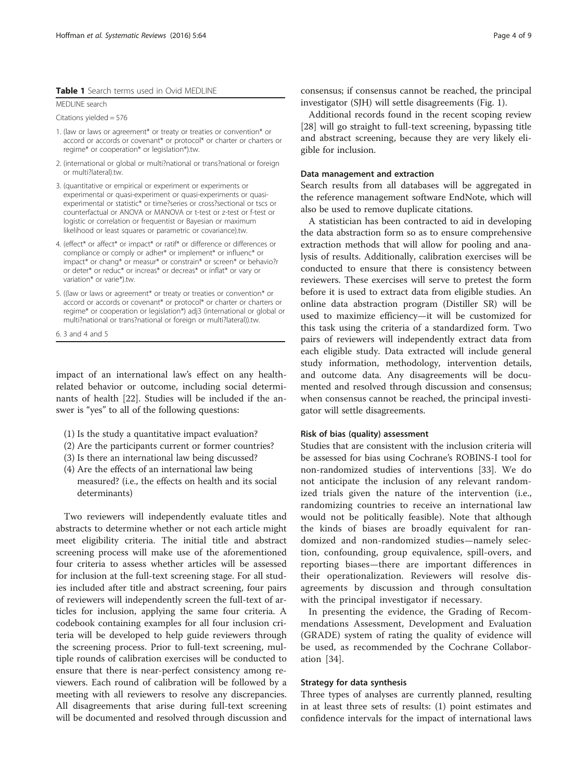#### <span id="page-3-0"></span>Table 1 Search terms used in Ovid MEDLINE

MEDLINE search

Citations yielded  $= 576$ 

- 1. (law or laws or agreement\* or treaty or treaties or convention\* or accord or accords or covenant\* or protocol\* or charter or charters or regime\* or cooperation\* or legislation\*).tw.
- 2. (international or global or multi?national or trans?national or foreign or multi?lateral).tw.
- 3. (quantitative or empirical or experiment or experiments or experimental or quasi-experiment or quasi-experiments or quasiexperimental or statistic\* or time?series or cross?sectional or tscs or counterfactual or ANOVA or MANOVA or t-test or z-test or f-test or logistic or correlation or frequentist or Bayesian or maximum likelihood or least squares or parametric or covariance).tw.
- 4. (effect\* or affect\* or impact\* or ratif\* or difference or differences or compliance or comply or adher\* or implement\* or influenc\* or impact\* or chang\* or measur\* or constrain\* or screen\* or behavio?r or deter\* or reduc\* or increas\* or decreas\* or inflat\* or vary or variation\* or varie\*).tw.
- 5. ((law or laws or agreement\* or treaty or treaties or convention\* or accord or accords or covenant\* or protocol\* or charter or charters or regime\* or cooperation or legislation\*) adj3 (international or global or multi?national or trans?national or foreign or multi?lateral)).tw.

6. 3 and 4 and 5

impact of an international law's effect on any healthrelated behavior or outcome, including social determinants of health [\[22](#page-7-0)]. Studies will be included if the answer is "yes" to all of the following questions:

- (1) Is the study a quantitative impact evaluation?
- (2) Are the participants current or former countries?
- (3) Is there an international law being discussed?
- (4) Are the effects of an international law being
- measured? (i.e., the effects on health and its social determinants)

Two reviewers will independently evaluate titles and abstracts to determine whether or not each article might meet eligibility criteria. The initial title and abstract screening process will make use of the aforementioned four criteria to assess whether articles will be assessed for inclusion at the full-text screening stage. For all studies included after title and abstract screening, four pairs of reviewers will independently screen the full-text of articles for inclusion, applying the same four criteria. A codebook containing examples for all four inclusion criteria will be developed to help guide reviewers through the screening process. Prior to full-text screening, multiple rounds of calibration exercises will be conducted to ensure that there is near-perfect consistency among reviewers. Each round of calibration will be followed by a meeting with all reviewers to resolve any discrepancies. All disagreements that arise during full-text screening will be documented and resolved through discussion and consensus; if consensus cannot be reached, the principal investigator (SJH) will settle disagreements (Fig. [1\)](#page-4-0).

Additional records found in the recent scoping review [[28\]](#page-7-0) will go straight to full-text screening, bypassing title and abstract screening, because they are very likely eligible for inclusion.

#### Data management and extraction

Search results from all databases will be aggregated in the reference management software EndNote, which will also be used to remove duplicate citations.

A statistician has been contracted to aid in developing the data abstraction form so as to ensure comprehensive extraction methods that will allow for pooling and analysis of results. Additionally, calibration exercises will be conducted to ensure that there is consistency between reviewers. These exercises will serve to pretest the form before it is used to extract data from eligible studies. An online data abstraction program (Distiller SR) will be used to maximize efficiency—it will be customized for this task using the criteria of a standardized form. Two pairs of reviewers will independently extract data from each eligible study. Data extracted will include general study information, methodology, intervention details, and outcome data. Any disagreements will be documented and resolved through discussion and consensus; when consensus cannot be reached, the principal investigator will settle disagreements.

#### Risk of bias (quality) assessment

Studies that are consistent with the inclusion criteria will be assessed for bias using Cochrane's ROBINS-I tool for non-randomized studies of interventions [[33\]](#page-7-0). We do not anticipate the inclusion of any relevant randomized trials given the nature of the intervention (i.e., randomizing countries to receive an international law would not be politically feasible). Note that although the kinds of biases are broadly equivalent for randomized and non-randomized studies—namely selection, confounding, group equivalence, spill-overs, and reporting biases—there are important differences in their operationalization. Reviewers will resolve disagreements by discussion and through consultation with the principal investigator if necessary.

In presenting the evidence, the Grading of Recommendations Assessment, Development and Evaluation (GRADE) system of rating the quality of evidence will be used, as recommended by the Cochrane Collaboration [[34](#page-8-0)].

#### Strategy for data synthesis

Three types of analyses are currently planned, resulting in at least three sets of results: (1) point estimates and confidence intervals for the impact of international laws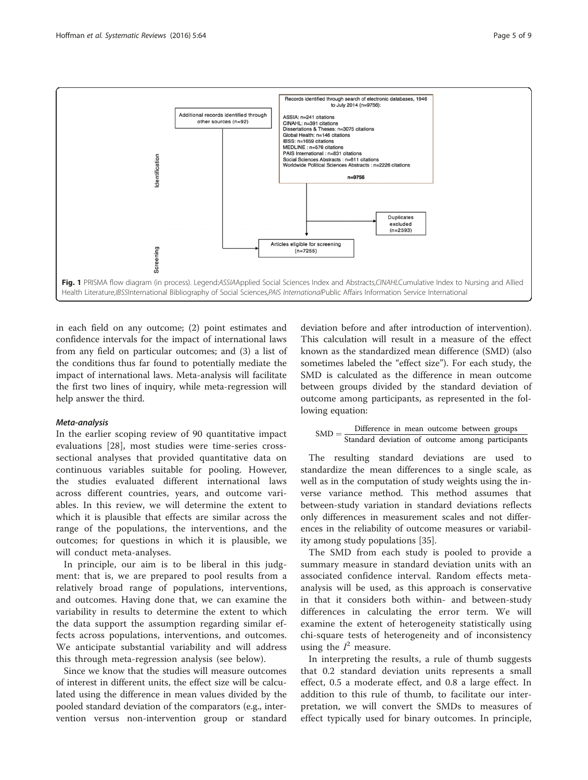<span id="page-4-0"></span>

in each field on any outcome; (2) point estimates and confidence intervals for the impact of international laws from any field on particular outcomes; and (3) a list of the conditions thus far found to potentially mediate the impact of international laws. Meta-analysis will facilitate the first two lines of inquiry, while meta-regression will help answer the third.

#### Meta-analysis

In the earlier scoping review of 90 quantitative impact evaluations [\[28](#page-7-0)], most studies were time-series crosssectional analyses that provided quantitative data on continuous variables suitable for pooling. However, the studies evaluated different international laws across different countries, years, and outcome variables. In this review, we will determine the extent to which it is plausible that effects are similar across the range of the populations, the interventions, and the outcomes; for questions in which it is plausible, we will conduct meta-analyses.

In principle, our aim is to be liberal in this judgment: that is, we are prepared to pool results from a relatively broad range of populations, interventions, and outcomes. Having done that, we can examine the variability in results to determine the extent to which the data support the assumption regarding similar effects across populations, interventions, and outcomes. We anticipate substantial variability and will address this through meta-regression analysis (see below).

Since we know that the studies will measure outcomes of interest in different units, the effect size will be calculated using the difference in mean values divided by the pooled standard deviation of the comparators (e.g., intervention versus non-intervention group or standard

deviation before and after introduction of intervention). This calculation will result in a measure of the effect known as the standardized mean difference (SMD) (also sometimes labeled the "effect size"). For each study, the SMD is calculated as the difference in mean outcome between groups divided by the standard deviation of outcome among participants, as represented in the following equation:

$$
SMD = \frac{Difference \text{ in mean outcome between groups}}{Standard deviation of outcome among participants}
$$

The resulting standard deviations are used to standardize the mean differences to a single scale, as well as in the computation of study weights using the inverse variance method. This method assumes that between-study variation in standard deviations reflects only differences in measurement scales and not differences in the reliability of outcome measures or variability among study populations [\[35](#page-8-0)].

The SMD from each study is pooled to provide a summary measure in standard deviation units with an associated confidence interval. Random effects metaanalysis will be used, as this approach is conservative in that it considers both within- and between-study differences in calculating the error term. We will examine the extent of heterogeneity statistically using chi-square tests of heterogeneity and of inconsistency using the  $I^2$  measure.

In interpreting the results, a rule of thumb suggests that 0.2 standard deviation units represents a small effect, 0.5 a moderate effect, and 0.8 a large effect. In addition to this rule of thumb, to facilitate our interpretation, we will convert the SMDs to measures of effect typically used for binary outcomes. In principle,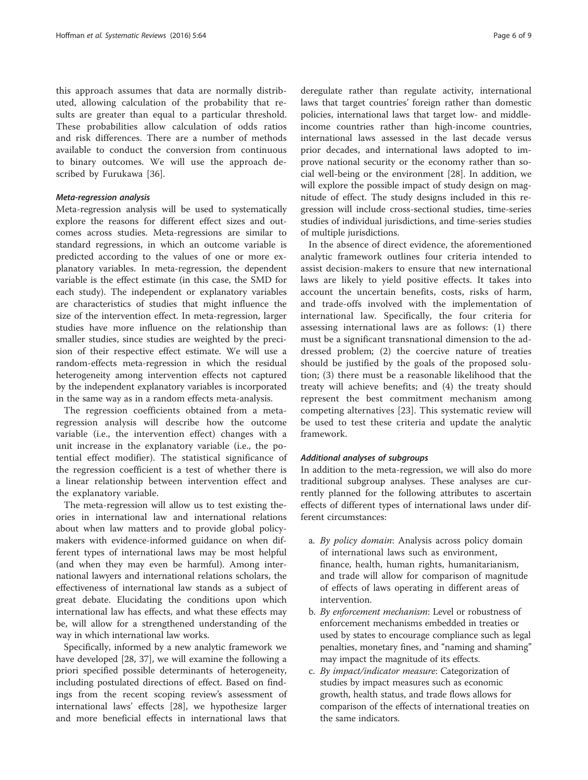this approach assumes that data are normally distributed, allowing calculation of the probability that results are greater than equal to a particular threshold. These probabilities allow calculation of odds ratios and risk differences. There are a number of methods available to conduct the conversion from continuous to binary outcomes. We will use the approach described by Furukawa [[36\]](#page-8-0).

## Meta-regression analysis

Meta-regression analysis will be used to systematically explore the reasons for different effect sizes and outcomes across studies. Meta-regressions are similar to standard regressions, in which an outcome variable is predicted according to the values of one or more explanatory variables. In meta-regression, the dependent variable is the effect estimate (in this case, the SMD for each study). The independent or explanatory variables are characteristics of studies that might influence the size of the intervention effect. In meta-regression, larger studies have more influence on the relationship than smaller studies, since studies are weighted by the precision of their respective effect estimate. We will use a random-effects meta-regression in which the residual heterogeneity among intervention effects not captured by the independent explanatory variables is incorporated in the same way as in a random effects meta-analysis.

The regression coefficients obtained from a metaregression analysis will describe how the outcome variable (i.e., the intervention effect) changes with a unit increase in the explanatory variable (i.e., the potential effect modifier). The statistical significance of the regression coefficient is a test of whether there is a linear relationship between intervention effect and the explanatory variable.

The meta-regression will allow us to test existing theories in international law and international relations about when law matters and to provide global policymakers with evidence-informed guidance on when different types of international laws may be most helpful (and when they may even be harmful). Among international lawyers and international relations scholars, the effectiveness of international law stands as a subject of great debate. Elucidating the conditions upon which international law has effects, and what these effects may be, will allow for a strengthened understanding of the way in which international law works.

Specifically, informed by a new analytic framework we have developed [[28,](#page-7-0) [37\]](#page-8-0), we will examine the following a priori specified possible determinants of heterogeneity, including postulated directions of effect. Based on findings from the recent scoping review's assessment of international laws' effects [\[28](#page-7-0)], we hypothesize larger and more beneficial effects in international laws that

deregulate rather than regulate activity, international laws that target countries' foreign rather than domestic policies, international laws that target low- and middleincome countries rather than high-income countries, international laws assessed in the last decade versus prior decades, and international laws adopted to improve national security or the economy rather than social well-being or the environment [[28](#page-7-0)]. In addition, we will explore the possible impact of study design on magnitude of effect. The study designs included in this regression will include cross-sectional studies, time-series studies of individual jurisdictions, and time-series studies of multiple jurisdictions.

In the absence of direct evidence, the aforementioned analytic framework outlines four criteria intended to assist decision-makers to ensure that new international laws are likely to yield positive effects. It takes into account the uncertain benefits, costs, risks of harm, and trade-offs involved with the implementation of international law. Specifically, the four criteria for assessing international laws are as follows: (1) there must be a significant transnational dimension to the addressed problem; (2) the coercive nature of treaties should be justified by the goals of the proposed solution; (3) there must be a reasonable likelihood that the treaty will achieve benefits; and (4) the treaty should represent the best commitment mechanism among competing alternatives [\[23](#page-7-0)]. This systematic review will be used to test these criteria and update the analytic framework.

## Additional analyses of subgroups

In addition to the meta-regression, we will also do more traditional subgroup analyses. These analyses are currently planned for the following attributes to ascertain effects of different types of international laws under different circumstances:

- a. By policy domain: Analysis across policy domain of international laws such as environment, finance, health, human rights, humanitarianism, and trade will allow for comparison of magnitude of effects of laws operating in different areas of intervention.
- b. By enforcement mechanism: Level or robustness of enforcement mechanisms embedded in treaties or used by states to encourage compliance such as legal penalties, monetary fines, and "naming and shaming" may impact the magnitude of its effects.
- c. By impact/indicator measure: Categorization of studies by impact measures such as economic growth, health status, and trade flows allows for comparison of the effects of international treaties on the same indicators.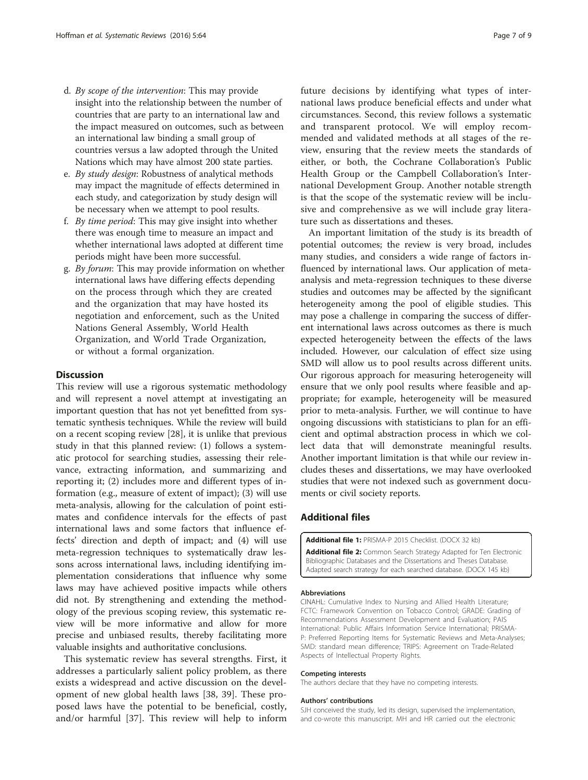- <span id="page-6-0"></span>d. By scope of the intervention: This may provide insight into the relationship between the number of countries that are party to an international law and the impact measured on outcomes, such as between an international law binding a small group of countries versus a law adopted through the United Nations which may have almost 200 state parties.
- e. By study design: Robustness of analytical methods may impact the magnitude of effects determined in each study, and categorization by study design will be necessary when we attempt to pool results.
- f. By time period: This may give insight into whether there was enough time to measure an impact and whether international laws adopted at different time periods might have been more successful.
- g. By forum: This may provide information on whether international laws have differing effects depending on the process through which they are created and the organization that may have hosted its negotiation and enforcement, such as the United Nations General Assembly, World Health Organization, and World Trade Organization, or without a formal organization.

#### **Discussion**

This review will use a rigorous systematic methodology and will represent a novel attempt at investigating an important question that has not yet benefitted from systematic synthesis techniques. While the review will build on a recent scoping review [[28\]](#page-7-0), it is unlike that previous study in that this planned review: (1) follows a systematic protocol for searching studies, assessing their relevance, extracting information, and summarizing and reporting it; (2) includes more and different types of information (e.g., measure of extent of impact); (3) will use meta-analysis, allowing for the calculation of point estimates and confidence intervals for the effects of past international laws and some factors that influence effects' direction and depth of impact; and (4) will use meta-regression techniques to systematically draw lessons across international laws, including identifying implementation considerations that influence why some laws may have achieved positive impacts while others did not. By strengthening and extending the methodology of the previous scoping review, this systematic review will be more informative and allow for more precise and unbiased results, thereby facilitating more valuable insights and authoritative conclusions.

This systematic review has several strengths. First, it addresses a particularly salient policy problem, as there exists a widespread and active discussion on the development of new global health laws [[38, 39\]](#page-8-0). These proposed laws have the potential to be beneficial, costly, and/or harmful [[37\]](#page-8-0). This review will help to inform

future decisions by identifying what types of international laws produce beneficial effects and under what circumstances. Second, this review follows a systematic and transparent protocol. We will employ recommended and validated methods at all stages of the review, ensuring that the review meets the standards of either, or both, the Cochrane Collaboration's Public Health Group or the Campbell Collaboration's International Development Group. Another notable strength is that the scope of the systematic review will be inclusive and comprehensive as we will include gray literature such as dissertations and theses.

An important limitation of the study is its breadth of potential outcomes; the review is very broad, includes many studies, and considers a wide range of factors influenced by international laws. Our application of metaanalysis and meta-regression techniques to these diverse studies and outcomes may be affected by the significant heterogeneity among the pool of eligible studies. This may pose a challenge in comparing the success of different international laws across outcomes as there is much expected heterogeneity between the effects of the laws included. However, our calculation of effect size using SMD will allow us to pool results across different units. Our rigorous approach for measuring heterogeneity will ensure that we only pool results where feasible and appropriate; for example, heterogeneity will be measured prior to meta-analysis. Further, we will continue to have ongoing discussions with statisticians to plan for an efficient and optimal abstraction process in which we collect data that will demonstrate meaningful results. Another important limitation is that while our review includes theses and dissertations, we may have overlooked studies that were not indexed such as government documents or civil society reports.

## Additional files

[Additional file 1:](dx.doi.org/10.1186/s13643-016-0238-0) PRISMA-P 2015 Checklist. (DOCX 32 kb)

[Additional file 2:](dx.doi.org/10.1186/s13643-016-0238-0) Common Search Strategy Adapted for Ten Electronic Bibliographic Databases and the Dissertations and Theses Database. Adapted search strategy for each searched database. (DOCX 145 kb)

#### Abbreviations

CINAHL: Cumulative Index to Nursing and Allied Health Literature; FCTC: Framework Convention on Tobacco Control; GRADE: Grading of Recommendations Assessment Development and Evaluation; PAIS International: Public Affairs Information Service International; PRISMA-P: Preferred Reporting Items for Systematic Reviews and Meta-Analyses; SMD: standard mean difference; TRIPS: Agreement on Trade-Related Aspects of Intellectual Property Rights.

#### Competing interests

The authors declare that they have no competing interests.

#### Authors' contributions

SJH conceived the study, led its design, supervised the implementation, and co-wrote this manuscript. MH and HR carried out the electronic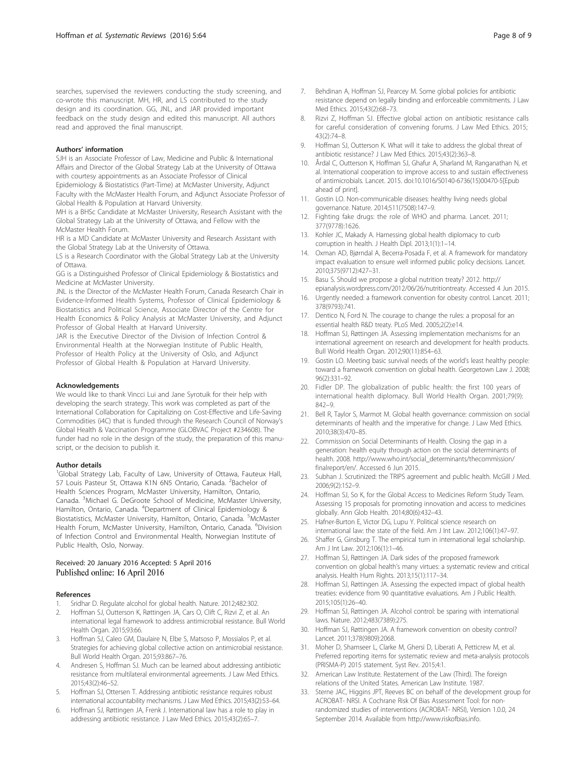<span id="page-7-0"></span>searches, supervised the reviewers conducting the study screening, and co-wrote this manuscript. MH, HR, and LS contributed to the study design and its coordination. GG, JNL, and JAR provided important feedback on the study design and edited this manuscript. All authors read and approved the final manuscript.

#### Authors' information

SJH is an Associate Professor of Law, Medicine and Public & International Affairs and Director of the Global Strategy Lab at the University of Ottawa with courtesy appointments as an Associate Professor of Clinical Epidemiology & Biostatistics (Part-Time) at McMaster University, Adjunct Faculty with the McMaster Health Forum, and Adjunct Associate Professor of Global Health & Population at Harvard University.

MH is a BHSc Candidate at McMaster University, Research Assistant with the Global Strategy Lab at the University of Ottawa, and Fellow with the McMaster Health Forum.

HR is a MD Candidate at McMaster University and Research Assistant with the Global Strategy Lab at the University of Ottawa.

LS is a Research Coordinator with the Global Strategy Lab at the University of Ottawa.

GG is a Distinguished Professor of Clinical Epidemiology & Biostatistics and Medicine at McMaster University.

JNL is the Director of the McMaster Health Forum, Canada Research Chair in Evidence-Informed Health Systems, Professor of Clinical Epidemiology & Biostatistics and Political Science, Associate Director of the Centre for Health Economics & Policy Analysis at McMaster University, and Adjunct Professor of Global Health at Harvard University.

JAR is the Executive Director of the Division of Infection Control & Environmental Health at the Norwegian Institute of Public Health, Professor of Health Policy at the University of Oslo, and Adjunct Professor of Global Health & Population at Harvard University.

#### Acknowledgements

We would like to thank Vincci Lui and Jane Syrotuik for their help with developing the search strategy. This work was completed as part of the International Collaboration for Capitalizing on Cost-Effective and Life-Saving Commodities (i4C) that is funded through the Research Council of Norway's Global Health & Vaccination Programme (GLOBVAC Project #234608). The funder had no role in the design of the study, the preparation of this manuscript, or the decision to publish it.

#### Author details

<sup>1</sup>Global Strategy Lab, Faculty of Law, University of Ottawa, Fauteux Hall, 57 Louis Pasteur St, Ottawa K1N 6N5 Ontario, Canada. <sup>2</sup>Bachelor of Health Sciences Program, McMaster University, Hamilton, Ontario, Canada. <sup>3</sup>Michael G. DeGroote School of Medicine, McMaster University, Hamilton, Ontario, Canada. <sup>4</sup>Department of Clinical Epidemiology & Biostatistics, McMaster University, Hamilton, Ontario, Canada. <sup>5</sup>McMaster Health Forum, McMaster University, Hamilton, Ontario, Canada. <sup>6</sup>Division of Infection Control and Environmental Health, Norwegian Institute of Public Health, Oslo, Norway.

#### Received: 20 January 2016 Accepted: 5 April 2016 Published online: 16 April 2016

#### References

- 1. Sridhar D. Regulate alcohol for global health. Nature. 2012;482:302.
- 2. Hoffman SJ, Outterson K, Røttingen JA, Cars O, Clift C, Rizvi Z, et al. An international legal framework to address antimicrobial resistance. Bull World Health Organ. 2015;93:66.
- 3. Hoffman SJ, Caleo GM, Daulaire N, Elbe S, Matsoso P, Mossialos P, et al. Strategies for achieving global collective action on antimicrobial resistance. Bull World Health Organ. 2015;93:867–76.
- 4. Andresen S, Hoffman SJ. Much can be learned about addressing antibiotic resistance from multilateral environmental agreements. J Law Med Ethics. 2015;43(2):46–52.
- 5. Hoffman SJ, Ottersen T. Addressing antibiotic resistance requires robust international accountability mechanisms. J Law Med Ethics. 2015;43(2):53–64.
- 6. Hoffman SJ, Røttingen JA, Frenk J. International law has a role to play in addressing antibiotic resistance. J Law Med Ethics. 2015;43(2):65–7.
- 7. Behdinan A, Hoffman SJ, Pearcey M. Some global policies for antibiotic resistance depend on legally binding and enforceable commitments. J Law Med Ethics. 2015;43(2):68–73.
- Rizvi Z, Hoffman SJ. Effective global action on antibiotic resistance calls for careful consideration of convening forums. J Law Med Ethics. 2015;  $43(2):74-8$
- 9. Hoffman SJ, Outterson K. What will it take to address the global threat of antibiotic resistance? J Law Med Ethics. 2015;43(2):363–8.
- 10. Årdal C, Outterson K, Hoffman SJ, Ghafur A, Sharland M, Ranganathan N, et al. International cooperation to improve access to and sustain effectiveness of antimicrobials. Lancet. 2015. doi:[10.1016/S0140-6736\(15\)00470-5\[](http://dx.doi.org/10.1016/S0140-6736(15)00470-5)Epub ahead of print].
- 11. Gostin LO. Non-communicable diseases: healthy living needs global governance. Nature. 2014;511(7508):147–9.
- 12. Fighting fake drugs: the role of WHO and pharma. Lancet. 2011; 377(9778):1626.
- 13. Kohler JC, Makady A. Harnessing global health diplomacy to curb corruption in health. J Health Dipl. 2013;1(1):1–14.
- 14. Oxman AD, Bjørndal A, Becerra-Posada F, et al. A framework for mandatory impact evaluation to ensure well informed public policy decisions. Lancet. 2010;375(9712):427–31.
- 15. Basu S. Should we propose a global nutrition treaty? 2012. [http://](http://epianalysis.wordpress.com/2012/06/26/nutritiontreaty) [epianalysis.wordpress.com/2012/06/26/nutritiontreaty.](http://epianalysis.wordpress.com/2012/06/26/nutritiontreaty) Accessed 4 Jun 2015.
- 16. Urgently needed: a framework convention for obesity control. Lancet. 2011; 378(9793):741.
- 17. Dentico N, Ford N. The courage to change the rules: a proposal for an essential health R&D treaty. PLoS Med. 2005;2(2):e14.
- 18. Hoffman SJ, Røttingen JA. Assessing implementation mechanisms for an international agreement on research and development for health products. Bull World Health Organ. 2012;90(11):854–63.
- 19. Gostin LO. Meeting basic survival needs of the world's least healthy people: toward a framework convention on global health. Georgetown Law J. 2008; 96(2):331–92.
- 20. Fidler DP. The globalization of public health: the first 100 years of international health diplomacy. Bull World Health Organ. 2001;79(9): 842–9.
- 21. Bell R, Taylor S, Marmot M. Global health governance: commission on social determinants of health and the imperative for change. J Law Med Ethics. 2010;38(3):470–85.
- 22. Commission on Social Determinants of Health. Closing the gap in a generation: health equity through action on the social determinants of health. 2008. [http://www.who.int/social\\_determinants/thecommission/](http://www.who.int/social_determinants/thecommission/finalreport/en/) [finalreport/en/.](http://www.who.int/social_determinants/thecommission/finalreport/en/) Accessed 6 Jun 2015.
- 23. Subhan J. Scrutinized: the TRIPS agreement and public health. McGill J Med. 2006;9(2):152–9.
- 24. Hoffman SJ, So K, for the Global Access to Medicines Reform Study Team. Assessing 15 proposals for promoting innovation and access to medicines globally. Ann Glob Health. 2014;80(6):432–43.
- 25. Hafner-Burton E, Victor DG, Lupu Y. Political science research on international law: the state of the field. Am J Int Law. 2012;106(1):47–97.
- 26. Shaffer G, Ginsburg T. The empirical turn in international legal scholarship. Am J Int Law. 2012;106(1):1–46.
- 27. Hoffman SJ, Røttingen JA. Dark sides of the proposed framework convention on global health's many virtues: a systematic review and critical analysis. Health Hum Rights. 2013;15(1):117–34.
- 28. Hoffman SJ, Røttingen JA. Assessing the expected impact of global health treaties: evidence from 90 quantitative evaluations. Am J Public Health. 2015;105(1):26–40.
- 29. Hoffman SJ, Røttingen JA. Alcohol control: be sparing with international laws. Nature. 2012;483(7389):275.
- 30. Hoffman SJ, Røttingen JA. A framework convention on obesity control? Lancet. 2011;378(9809):2068.
- 31. Moher D, Shamseer L, Clarke M, Ghersi D, Liberati A, Petticrew M, et al. Preferred reporting items for systematic review and meta-analysis protocols (PRISMA-P) 2015 statement. Syst Rev. 2015;4:1.
- 32. American Law Institute. Restatement of the Law (Third). The foreign relations of the United States. American Law Institute. 1987.
- 33. Sterne JAC, Higgins JPT, Reeves BC on behalf of the development group for ACROBAT- NRSI. A Cochrane Risk Of Bias Assessment Tool: for nonrandomized studies of interventions (ACROBAT- NRSI), Version 1.0.0, 24 September 2014. Available from [http://www.riskofbias.info.](http://www.riskofbias.info)